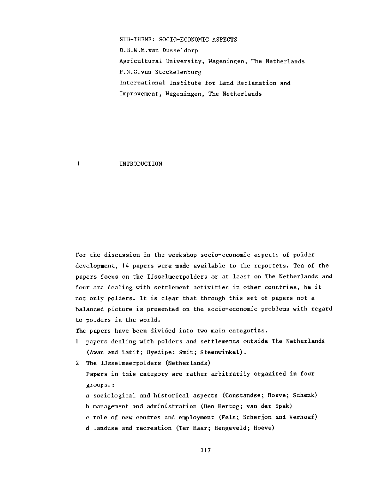SUB-THEME: SOCIO-ECONOMIC ASPECTS D.B.W.M.van Dusseldorp Agricultural University, Wageningen, The Netherlands P.N.G.van Steekelenburg International Institute for Land Reclamation and Improvement, Wageningen, The Netherlands

## INTRODUCTION

 $\mathbf{1}$ 

For the discussion in the workshop socio-economic aspects of polder development, 14 papers were made available to the reporters. Ten of the papers focus on the IJsselmeerpolders or at least on The Netherlands and four are dealing with settlement activities in other countries, be it not only polders. It is clear that through this set of papers not a balanced picture is presented on the socio-economic problems with regard to polders in the world.

The papers have been divided into two main categories.

- 1 papers dealing with polders and settlements outside The Netherlands (Awan and Latif; Oyedipe; Smit; Steenwinkel).
- 2 The IJsselmeerpolders (Netherlands) Papers in this category are rather arbitrarily organised in four groups.:

a sociological and historical aspects (Constandse; Hoeve; Schenk) b management and administration (Den Hertog; van der Spek) c role of new centres and employment (Fels; Scherjon and Verhoef) d landuse and recreation (Ter Haar; Hengeveld; Hoeve)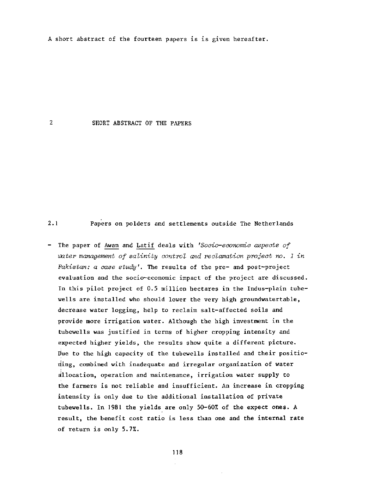A short abstract of the fourteen papers is is given hereafter.

## $2<sup>1</sup>$ SHORT ABSTRACT OF THE PAPERS

2.1 Papers on polders and settlements outside The Netherlands

- The paper of Awan and Lat if deals with *'Socio-economic aspects of*  water management of salinity control and reclamation project no. 1 in *Pakistan: a case study'.* The results of the pre- and post-project evaluation and the socio-economic impact of the project are discussed. In this pilot project of 0.5 million hectares in the Indus-plain tubewells are installed who should lower the very high groundwatertable, decrease water logging, help to reclaim salt-affected soils and provide more irrigation water. Although the high investment in the tubewells was justified in terms of higher cropping intensity and expected higher yields, the results show quite a different picture. Due to the high capacity of the tubewells installed and their positioning, combined with inadequate and irregular organization of water allocation, operation and maintenance, irrigation water supply to the farmers is not reliable and insufficient. An increase in cropping intensity is only due to the additional installation of private tubewells. In 1981 the yields are only 50-60% of the expect ones. A result, the benefit cost ratio is less than one and the internal rate of return is only 5.7%.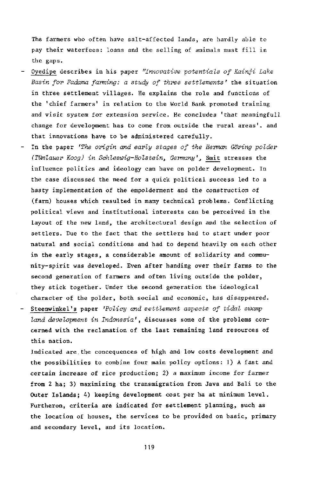The farmers who often have salt-affected lands, are hardly able to pay their waterfees: loans and the selling of animals must fill in the gaps.

- Oyedipe describes in his paper *"Innovative potentials of Kainji Lake Basin for Fadama farming: a study of three settlements'* the situation in three settlement villages. He explains the role and functions of the 'chief farmers' in relation to the World Bank promoted training and visit system for extension service. He concludes 'that meaningfull change for development has to come from outside the rural areas', and that innovations have to be administered carefully.
- In the paper *'The origin and early stages of the Herman Goring polder (Tümlauer Koog) in Schleswig-Holstein, Germany',* Smit stresses the influence politics and ideology can have on polder development. In the case discussed the need for a quick political success led to a hasty implementation of the empolderment and the construction of (farm) houses which resulted in many technical problems. Conflicting political views and institutional interests can be perceived in the layout of the new land, the architectural design and the selection of settlers. Due to the fact that the settlers had to start under poor natural and social conditions and had to depend heavily on each other in the early stages, a considerable amount of solidarity and community-spirit was developed. Even after handing over their farms to the second generation of farmers and often living outside the polder, they stick together. Under the second generation the ideological character of the polder, both social and economic, has disappeared. Steenwinkel's paper *'Policy and settlement aspects of tidal swamp* 
	- *land development in Indonesia'*, discusses some of the problems concerned with the reclamation of the last remaining land resources of this nation.

Indicated are the concequences of high and low costs development and the possibilities to combine four main policy options: 1) A fast and certain increase of rice production; 2) a maximum income for farmer from 2 ha; 3) maximizing the transmigration from Java and Bali to the Outer Islands; 4) keeping development cost per ha at minimum level. Furtheron, criteria are indicated for settlement planning, such as the location of houses, the services to be provided on basic, primary and secondary level, and its location.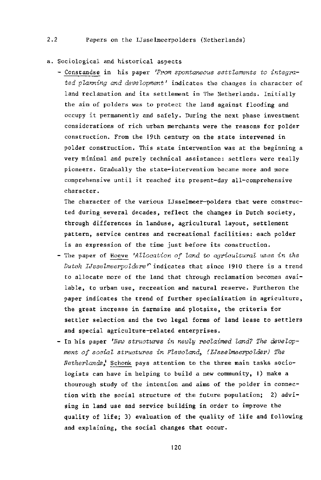## a. Sociological and historical aspects

- Constandse in his paper *'From spontaneous settlements to integra*ted planning and development' indicates the changes in character of land reclamation and its settlement in The Netherlands. Initially the aim of polders was to protect the land against flooding and occupy it permanently and safely. During the next phase investment considerations of rich urban merchants were the reasons for polder construction. From the 19th century on the state intervened in polder construction. This state intervention was at the beginning a very minimal and purely technical assistance: settlers were really pioneers. Gradually the state-intervention became more and more comprehensive until it reached its present-day all-comprehensive character.

The character of the various IJsselmeer-polders that were constructed during several decades, reflect the changes in Dutch society, through differences in landuse, agricultural layout, settlement pattern, service centres and recreational facilities: each polder is an expression of the time just before its construction.

- The paper of Hoeve *'Allocation of land to agricultural uses in the dutch IJsselmeerpolders r* indicates that since 1910 there is a trend to allocate more of the land that through reclamation becomes available, to urban use, recreation and natural reserve. Furtheron the paper indicates the trend of further specialization in agriculture, the great increase in farmsize and plotsize, the criteria for settler selection and the two legal forms of land lease to settlers and special agriculture-related enterprises.
- In his paper *'New structures in newly reclaimed land? The development of social structures in Flevoland3 (IJsselmeerpolder) The Netherlands^* Schonk pays attention to the three main tasks sociologists can have in helping to build a new community, 1) make a thourough study of the intention and aims of the polder in connection with the social structure of the future population; 2) advising in land use and service building in order to improve the quality of life; 3) evaluation of the quality of life and following and explaining, the social changes that occur.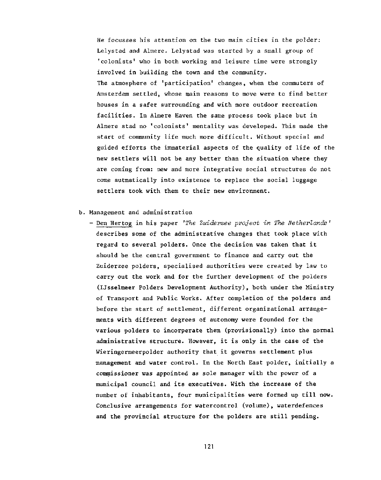He focusses his attention on the two main cities in the polder: Lelystad and Almere. Lelystad was started by a small group of 'colonists' who in both working and leisure time were strongly involved in building the town and the community. The atmosphere of 'participation' changes, when the commuters of Amsterdam settled, whose main reasons to move were to find better houses in a safer surrounding and with more outdoor recreation facilities. In Almere Haven the same process took place but in Almere stad no 'colonists' mentality was developed. This made the start of community life much more difficult. Without special and guided efforts the immaterial aspects of the quality of life of the new settlers will not be any better than the situation where they are coming from: new and more integrative social structures do not come autmatically into existence to replace the social luggage settlers took with them to their new environment.

## b. Management and administration

**- Den Hertog in his paper** *'The Zuiderzee project in The Netherlands '*  describes some of the administrative changes that took place with regard to several polders. Once the decision was taken that it should be the central government to finance and carry out the Zuiderzee polders, specialised authorities were created by law to carry out the work and for the further development of the polders (IJsselmeer Polders Development Authority), both under the Ministry of Transport and Public Works. After completion of the polders and before the start of settlement, different organizational arrangements with different degrees of autonomy were founded for the various polders to incorperate them (provisionally) into the normal administrative structure. However, it is only in the case of the Wieringermeerpolder authority that it governs settlement plus management and water control. In the North East polder, initially a commissioner was appointed as sole manager with the power of a municipal council and its executives. With the increase of the number of inhabitants, four municipalities were formed up till now. Conclusive arrangements for watercontrol (volume), waterdefences and the provincial structure for the polders are still pending.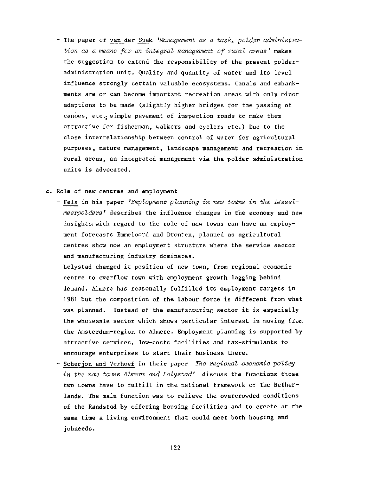- The paper of van der Spek 'Management as a task, polder administra*tion as a means for an integral management of rural areas'* makes the suggestion to extend the responsibility of the present polderadministration unit. Quality and quantity of water and its level influence strongly certain valuable ecosystems. Canals and embankments are or can become important recreation areas with only minor adaptions to be made (slightly higher bridges for the passing of canoes, etc.; simple pavement of inspection roads to make them attractive for fisherman, walkers and cyclers etc.) Due to the close interrelationship between control of water for agricultural purposes, nature management, landscape management and recreation in rural areas, an integrated management via the polder administration units is advocated.
- c. Role of new centres and employment
	- - **Fels in his paper** *'Employment planning in new towns in the IJsselmeerpolders '* describes the influence changes in the economy and new insights with regard to the role of new towns can have an employment forecasts Emmeloord and Dronten, planned as agricultural centres show now an employment structure where the service sector and manufacturing industry dominates.

Lelystad changed it position of new town, from regional economic centre to overflow town with employment growth lagging behind demand. Almere has reasonally fulfilled its employment targets in 1981 but the composition of the labour force is different from what was planned. Instead of the manufacturing sector it is especially the wholesale sector which shows particular interest in moving from the Amsterdam-region to Almere. Employment planning is supported by attractive services, low-costs facilities and tax-stimulants to encourage enterprises to start their business there.

- Scherjon and Verhoef in their paper *The regional economic policy in the new towns Almere and Lelystad'* **discuss the functions those**  two towns have to fulfill in the national framework of The Netherlands. The main function was to relieve the overcrowded conditions of the Randstad by offering housing facilities and to create at the same time a living environment that could meet both housing and jobneeds.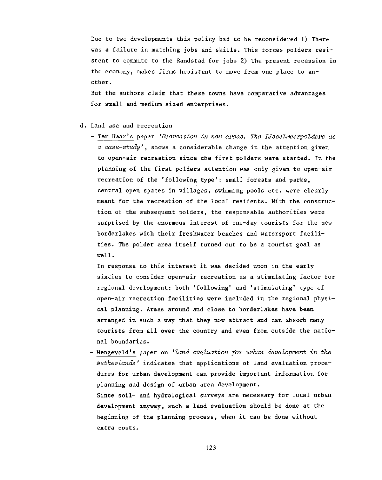Due to two developments this policy had to be reconsidered 1) There was a failure in matching jobs and skills. This forces polders resistent to commute to the Randstad for jobs 2) The present recession in the economy, makes firms hesistant to move from one place to another.

But the authors claim that these towns have comparative advantages for small and medium sized enterprises.

- d. Land use and recreation
	- Ter Haar's paper *'Recreation in new areas. The Usselmeerpolders as*  a case-study', shows a considerable change in the attent: to open-air recreation since the first polders were started. In the planning of the first polders attention was only given to open-air recreation of the 'following type': small forests and parks, central open spaces in villages, swimming pools etc. were clearly meant for the recreation of the local residents. With the construction of the subsequent polders, the responsable authorities were surprised by the enormous interest of one-day tourists for the new borderlakes with their freshwater beaches and watersport facilities. The polder area itself turned out to be a tourist goal as well.

In response to this interest it was decided upon in the early sixties to consider open-air recreation as a stimulating factor for regional development: both 'following' and 'stimulating' type of open-air recreation facilities were included in the regional physical planning. Areas around and close to borderlakes have been arranged in such a way that they now attract and can absorb many tourists from all over the country and even from outside the national boundaries.

- Hengeveld's paper on *'land evaluation for urban development in the Netherlands '* indicates that applications of land evaluation procedures for urban development can provide important information for planning and design of urban area development. Since soil- and hydrological surveys are necessary for local urban development anyway, such a land evaluation should be done at the beginning of the planning process, when it can be done without extra costs.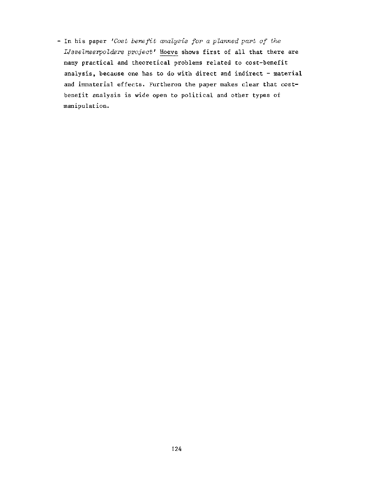- In his paper *'Cost benefit analysis for a planned part of the IJsselmeerpolders project'* Hoeve shows first of all that there are many practical and theoretical problems related to cost-benefit analysis, because one has to do with direct and indirect - material and immaterial effects. Furtheron the paper makes clear that costbenefit analysis is wide open to political and other types of manipulation.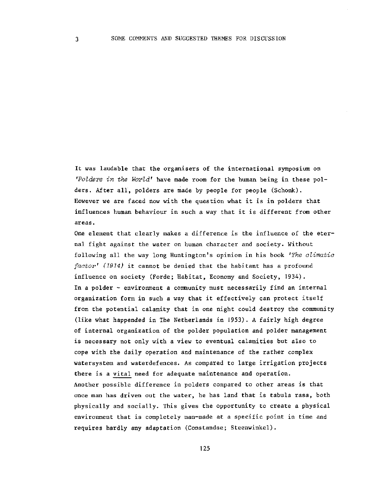It was laudable that the organisers of the international symposium on *'Polders in the World'* have made room for the human being in these polders. After all, polders are made by people for people (Schonk). However we are faced now with the question what it is in polders that influences human behaviour in such a way that it is different from other areas.

One element that clearly makes a difference is the influence of the eternal fight against the water on human character and society. Without following all the way long Huntington's opinion in his book *'The climatic factor' (1914)* it cannot be denied that the habitant has a profound influence on society (Forde; Habitat, Economy and Society, 1934). In a polder - environment a community must necessarily find an internal organization form in such a way that it effectively can protect itself from the potential calamity that in one night could destroy the community (like what happended in The Netherlands in 1953). A fairly high degree of internal organization of the polder population and polder management is necessary not only with a view to eventual calamities but also to cope with the daily operation and maintenance of the rather complex watersystem and waterdefences. As compared to large irrigation projects there is a vital need for adequate maintenance and operation. Another possible difference in polders compared to other areas is that once man has driven out the water, he has land that is tabula rasa, both physically and socially. This gives the opportunity to create a physical environment that is completely man-made at a specific point in time and requires hardly any adaptation (Constandse; Steenwinkel).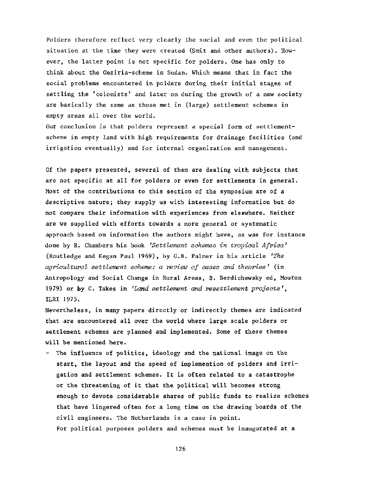Polders therefore reflect very clearly the social and even the political situation at the time they were created (Smit and other authors). However, the latter point is not specific for polders. One has only to think about the Geziria-scheme in Sudan. Which means that in fact the social problems encountered in polders during their initial stages of settling the 'colonists' and later on during the growth of a new society are basically the same as those met in (large) settlement schemes in empty areas all over the world.

Our conclusion is that polders represent a special form of settlementscheme in empty land with high requirements for drainage facilities (and irrigation eventually) and for internal organization and management.

Of the papers presented, several of them are dealing with subjects that are not specific at all for polders or even for settlements in general. Most of the contributions to this section of the symposium are of a descriptive nature; they supply us with interesting information but do not compare their information with experiences from elsewhere. Neither are we supplied with efforts towards a more general or systematic approach based on information the authors might have, as was for instance done by R. Chambers his book *'Settlement schemes in tropical Africa'*  (Routledge and Kegan Paul 1969), by G.B. Palmer in his article *'The agricultural settlement scheme: a review of cases and theories'* (in Antropology and Social Change in Rural Areas, B. Berdichewsky ed, Mouton 1979) or by C. Takes in *'Land settlement and resettlement projects'*, ILRI 1975.

Nevertheless, in many papers directly or indirectly themes are indicated that are encountered all over the world where large scale polders or settlement schemes are planned and implemented. Some of these themes will be mentioned here.

- The influence of politics, ideology and the national image on the start, the layout and the speed of implemention of polders and irrigation and settlement schemes. It is often related to a catastrophe or the threatening of it that the political will becomes strong enough to devote considerable shares of public funds to realize schemes that have lingered often for a long time on the drawing boards of the civil engineers. The Netherlands is a case in point. For political purposes polders and schemes must be inaugurated at a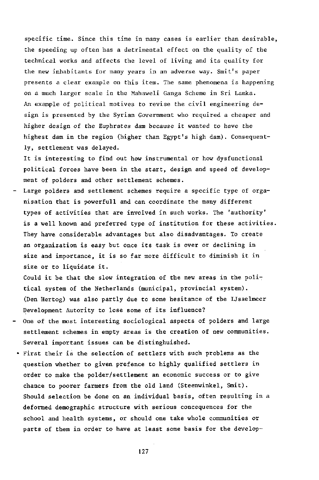specific time. Since this time in many cases is earlier than desirable, the speeding up often has a detrimental effect on the quality of the technical works and affects the level of living and its quality for the new inhabitants for many years in an adverse way. Smit's paper presents a clear example on this item. The same phenomena is happening on a much larger scale in the Mahaweli Ganga Scheme in Sri Lanka. An example of political motives to revise the civil engineering design is presented by the Syrian Government who required a cheaper and higher design of the Euphrates dam because it wanted to have the highest dam in the region (higher than Egypt's high dam). Consequently, settlement was delayed.

It is interesting to find out how instrumental or how dysfunctional political forces have been in the start, design and speed of development of polders and other settlement schemes.

Large polders and settlement schemes require a specific type of organisation that is powerfull and can coordinate the many different types of activities that are involved in such works. The 'authority' is a well known and preferred type of institution for these activities. They have considerable advantages but also disadvantages. To create an organization is easy but once its task is over or declining in size and importance, it is so far more difficult to diminish it in size or to liquidate it.

Could it be that the slow integration of the new areas in the political system of the Netherlands (municipal, provincial system). (Den Hertog) was also partly due to some hesitance of the IJsselmeer Development Autority to lose some of its influence?

- One of the most interesting sociological aspects of polders and large settlement schemes in empty areas is the creation of new communities. Several important issues can be distinghuished.
- First their is the selection of settlers with such problems as the question whether to given prefence to highly qualified settlers in order to make the polder/settlement an economic success or to give chance to poorer farmers from the old land (Steenwinkel, Smit). Should selection be done on an individual basis, often resulting in a deformed demographic structure with serious concequences for the school and health systems, or should one take whole communities or parts of them in order to have at least some basis for the develop-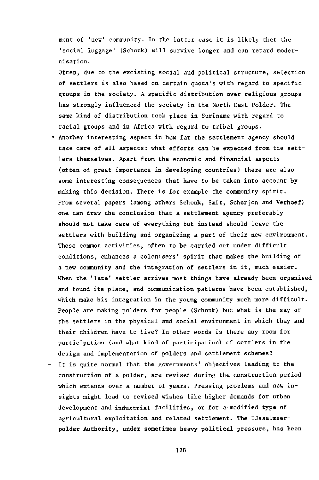ment of 'new' community. In the latter case it is likely that the 'social luggage' (Schonk) will survive longer and can retard modernisation.

Often, due to the excisting social and political structure, selection of settlers is also based on certain quota's with regard to specific groups in the society. A specific distribution over religious groups has strongly influenced the society in the North East Polder. The same kind of distribution took place in Suriname with regard to racial groups and in Africa with regard to tribal groups.

- Another interesting aspect in how far the settlement agency should take care of all aspects: what efforts can be expected from the settlers themselves. Apart from the economic and financial aspects (often of great importance in developing countries) there are also some interesting consequences that have to be taken into account by making this decision. There is for example the community spirit. From several papers (among others Schonk, Smit, Scherjon and Verhoef) one can draw the conclusion that a settlement agency preferably should not take care of everything but instead should leave the settlers with building and organizing a part of their new environment. These common activities, often to be carried out under difficult conditions, enhances a colonisers' spirit that makes the building of a new community and the integration of settlers in it, much easier. When the 'late' settler arrives most things have already been organised and found its place, and communication patterns have been established, which make his integration in the young community much more difficult. People are making polders for people (Schonk) but what is the say of the settlers in the physical and social environment in which they and their children have to live? In other words is there any room for participation (and what kind of participation) of settlers in the design and implementation of polders and settlement schemes?
- It is quite normal that the governments' objectives leading to the construction of a polder, are revised during the construction period which extends over a number of years. Pressing problems and new insights might lead to revised wishes like higher demands for urban development and industrial facilities, or for a modified type of agricultural exploitation and related settlement. The IJsselmeerpolder Authority, under sometimes heavy political pressure, has been